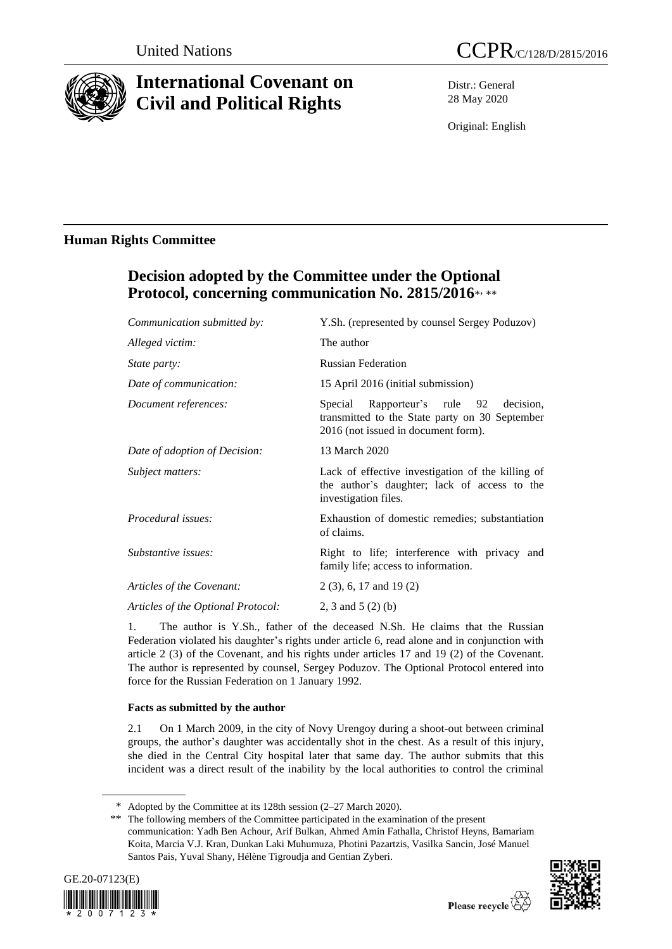

# **International Covenant on Civil and Political Rights**

Distr.: General 28 May 2020

Original: English

### **Human Rights Committee**

## **Decision adopted by the Committee under the Optional Protocol, concerning communication No. 2815/2016**\* , \*\*

| Communication submitted by:        | Y.Sh. (represented by counsel Sergey Poduzov)                                                                                      |
|------------------------------------|------------------------------------------------------------------------------------------------------------------------------------|
| Alleged victim:                    | The author                                                                                                                         |
| <i>State party:</i>                | <b>Russian Federation</b>                                                                                                          |
| Date of communication:             | 15 April 2016 (initial submission)                                                                                                 |
| Document references:               | Special Rapporteur's rule 92<br>decision.<br>transmitted to the State party on 30 September<br>2016 (not issued in document form). |
| Date of adoption of Decision:      | 13 March 2020                                                                                                                      |
| Subject matters:                   | Lack of effective investigation of the killing of<br>the author's daughter; lack of access to the<br>investigation files.          |
| Procedural issues:                 | Exhaustion of domestic remedies; substantiation<br>of claims.                                                                      |
| Substantive issues:                | Right to life; interference with privacy and<br>family life; access to information.                                                |
| Articles of the Covenant:          | $2(3)$ , 6, 17 and 19(2)                                                                                                           |
| Articles of the Optional Protocol: | 2, 3 and $5(2)$ (b)                                                                                                                |

1. The author is Y.Sh., father of the deceased N.Sh. He claims that the Russian Federation violated his daughter's rights under article 6, read alone and in conjunction with article 2 (3) of the Covenant, and his rights under articles 17 and 19 (2) of the Covenant. The author is represented by counsel, Sergey Poduzov. The Optional Protocol entered into force for the Russian Federation on 1 January 1992.

### **Facts as submitted by the author**

2.1 On 1 March 2009, in the city of Novy Urengoy during a shoot-out between criminal groups, the author's daughter was accidentally shot in the chest. As a result of this injury, she died in the Central City hospital later that same day. The author submits that this incident was a direct result of the inability by the local authorities to control the criminal

<sup>\*\*</sup> The following members of the Committee participated in the examination of the present communication: Yadh Ben Achour, Arif Bulkan, Ahmed Amin Fathalla, Christof Heyns, Bamariam Koita, Marcia V.J. Kran, Dunkan Laki Muhumuza, Photini Pazartzis, Vasilka Sancin, José Manuel Santos Pais, Yuval Shany, Hélène Tigroudja and Gentian Zyberi.





<sup>\*</sup> Adopted by the Committee at its 128th session (2–27 March 2020).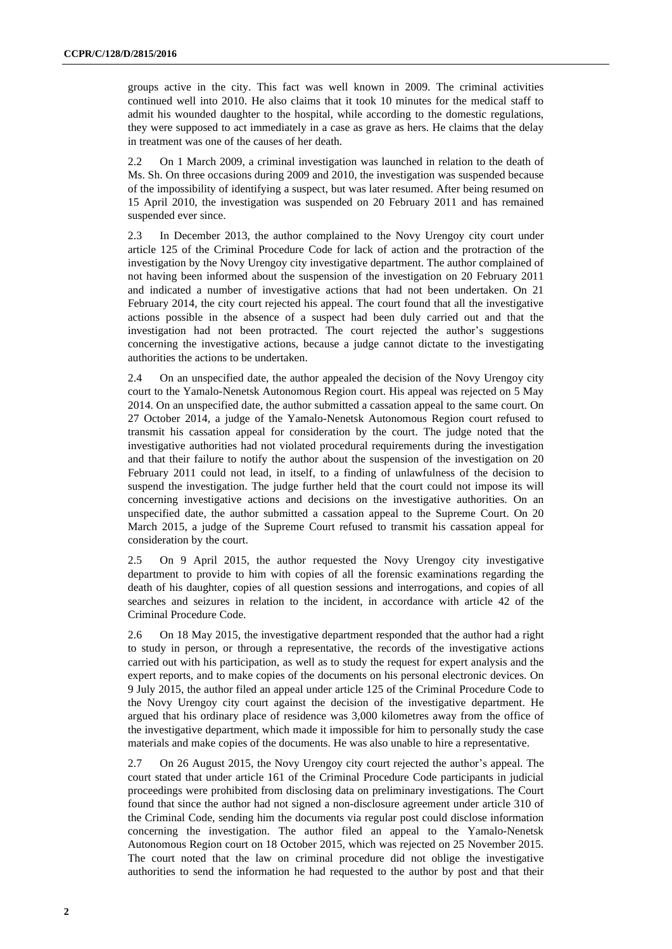groups active in the city. This fact was well known in 2009. The criminal activities continued well into 2010. He also claims that it took 10 minutes for the medical staff to admit his wounded daughter to the hospital, while according to the domestic regulations, they were supposed to act immediately in a case as grave as hers. He claims that the delay in treatment was one of the causes of her death.

2.2 On 1 March 2009, a criminal investigation was launched in relation to the death of Ms. Sh. On three occasions during 2009 and 2010, the investigation was suspended because of the impossibility of identifying a suspect, but was later resumed. After being resumed on 15 April 2010, the investigation was suspended on 20 February 2011 and has remained suspended ever since.

2.3 In December 2013, the author complained to the Novy Urengoy city court under article 125 of the Criminal Procedure Code for lack of action and the protraction of the investigation by the Novy Urengoy city investigative department. The author complained of not having been informed about the suspension of the investigation on 20 February 2011 and indicated a number of investigative actions that had not been undertaken. On 21 February 2014, the city court rejected his appeal. The court found that all the investigative actions possible in the absence of a suspect had been duly carried out and that the investigation had not been protracted. The court rejected the author's suggestions concerning the investigative actions, because a judge cannot dictate to the investigating authorities the actions to be undertaken.

2.4 On an unspecified date, the author appealed the decision of the Novy Urengoy city court to the Yamalo-Nenetsk Autonomous Region court. His appeal was rejected on 5 May 2014. On an unspecified date, the author submitted a cassation appeal to the same court. On 27 October 2014, a judge of the Yamalo-Nenetsk Autonomous Region court refused to transmit his cassation appeal for consideration by the court. The judge noted that the investigative authorities had not violated procedural requirements during the investigation and that their failure to notify the author about the suspension of the investigation on 20 February 2011 could not lead, in itself, to a finding of unlawfulness of the decision to suspend the investigation. The judge further held that the court could not impose its will concerning investigative actions and decisions on the investigative authorities. On an unspecified date, the author submitted a cassation appeal to the Supreme Court. On 20 March 2015, a judge of the Supreme Court refused to transmit his cassation appeal for consideration by the court.

2.5 On 9 April 2015, the author requested the Novy Urengoy city investigative department to provide to him with copies of all the forensic examinations regarding the death of his daughter, copies of all question sessions and interrogations, and copies of all searches and seizures in relation to the incident, in accordance with article 42 of the Criminal Procedure Code.

2.6 On 18 May 2015, the investigative department responded that the author had a right to study in person, or through a representative, the records of the investigative actions carried out with his participation, as well as to study the request for expert analysis and the expert reports, and to make copies of the documents on his personal electronic devices. On 9 July 2015, the author filed an appeal under article 125 of the Criminal Procedure Code to the Novy Urengoy city court against the decision of the investigative department. He argued that his ordinary place of residence was 3,000 kilometres away from the office of the investigative department, which made it impossible for him to personally study the case materials and make copies of the documents. He was also unable to hire a representative.

2.7 On 26 August 2015, the Novy Urengoy city court rejected the author's appeal. The court stated that under article 161 of the Criminal Procedure Code participants in judicial proceedings were prohibited from disclosing data on preliminary investigations. The Court found that since the author had not signed a non-disclosure agreement under article 310 of the Criminal Code, sending him the documents via regular post could disclose information concerning the investigation. The author filed an appeal to the Yamalo-Nenetsk Autonomous Region court on 18 October 2015, which was rejected on 25 November 2015. The court noted that the law on criminal procedure did not oblige the investigative authorities to send the information he had requested to the author by post and that their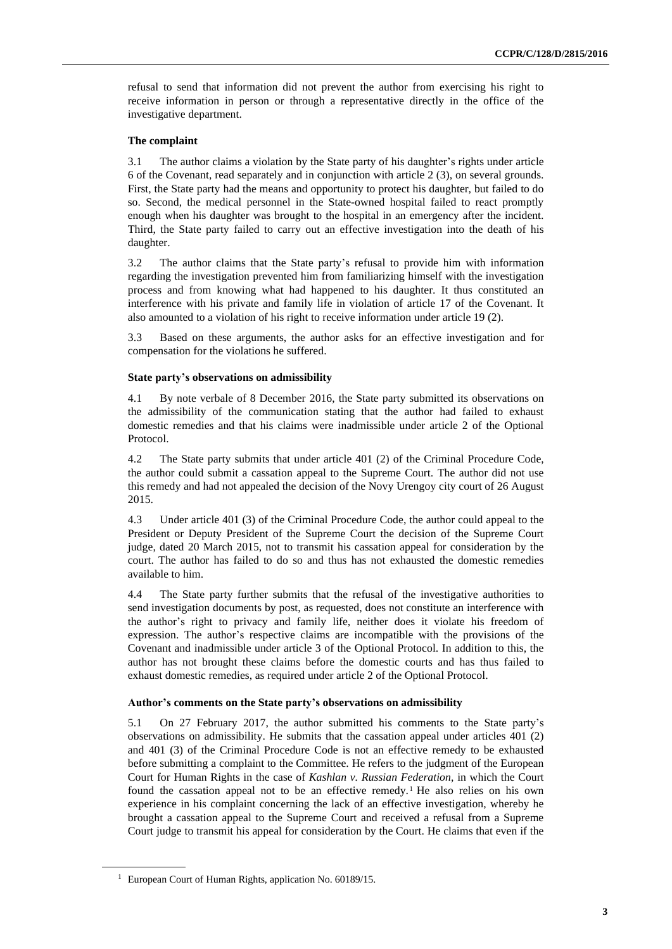refusal to send that information did not prevent the author from exercising his right to receive information in person or through a representative directly in the office of the investigative department.

#### **The complaint**

3.1 The author claims a violation by the State party of his daughter's rights under article 6 of the Covenant, read separately and in conjunction with article 2 (3), on several grounds. First, the State party had the means and opportunity to protect his daughter, but failed to do so. Second, the medical personnel in the State-owned hospital failed to react promptly enough when his daughter was brought to the hospital in an emergency after the incident. Third, the State party failed to carry out an effective investigation into the death of his daughter.

3.2 The author claims that the State party's refusal to provide him with information regarding the investigation prevented him from familiarizing himself with the investigation process and from knowing what had happened to his daughter. It thus constituted an interference with his private and family life in violation of article 17 of the Covenant. It also amounted to a violation of his right to receive information under article 19 (2).

3.3 Based on these arguments, the author asks for an effective investigation and for compensation for the violations he suffered.

#### **State party's observations on admissibility**

4.1 By note verbale of 8 December 2016, the State party submitted its observations on the admissibility of the communication stating that the author had failed to exhaust domestic remedies and that his claims were inadmissible under article 2 of the Optional Protocol.

4.2 The State party submits that under article 401 (2) of the Criminal Procedure Code, the author could submit a cassation appeal to the Supreme Court. The author did not use this remedy and had not appealed the decision of the Novy Urengoy city court of 26 August 2015.

4.3 Under article 401 (3) of the Criminal Procedure Code, the author could appeal to the President or Deputy President of the Supreme Court the decision of the Supreme Court judge, dated 20 March 2015, not to transmit his cassation appeal for consideration by the court. The author has failed to do so and thus has not exhausted the domestic remedies available to him.

4.4 The State party further submits that the refusal of the investigative authorities to send investigation documents by post, as requested, does not constitute an interference with the author's right to privacy and family life, neither does it violate his freedom of expression. The author's respective claims are incompatible with the provisions of the Covenant and inadmissible under article 3 of the Optional Protocol. In addition to this, the author has not brought these claims before the domestic courts and has thus failed to exhaust domestic remedies, as required under article 2 of the Optional Protocol.

#### **Author's comments on the State party's observations on admissibility**

5.1 On 27 February 2017, the author submitted his comments to the State party's observations on admissibility. He submits that the cassation appeal under articles 401 (2) and 401 (3) of the Criminal Procedure Code is not an effective remedy to be exhausted before submitting a complaint to the Committee. He refers to the judgment of the European Court for Human Rights in the case of *Kashlan v. Russian Federation*, in which the Court found the cassation appeal not to be an effective remedy.<sup>1</sup> He also relies on his own experience in his complaint concerning the lack of an effective investigation, whereby he brought a cassation appeal to the Supreme Court and received a refusal from a Supreme Court judge to transmit his appeal for consideration by the Court. He claims that even if the

<sup>&</sup>lt;sup>1</sup> European Court of Human Rights, application No. 60189/15.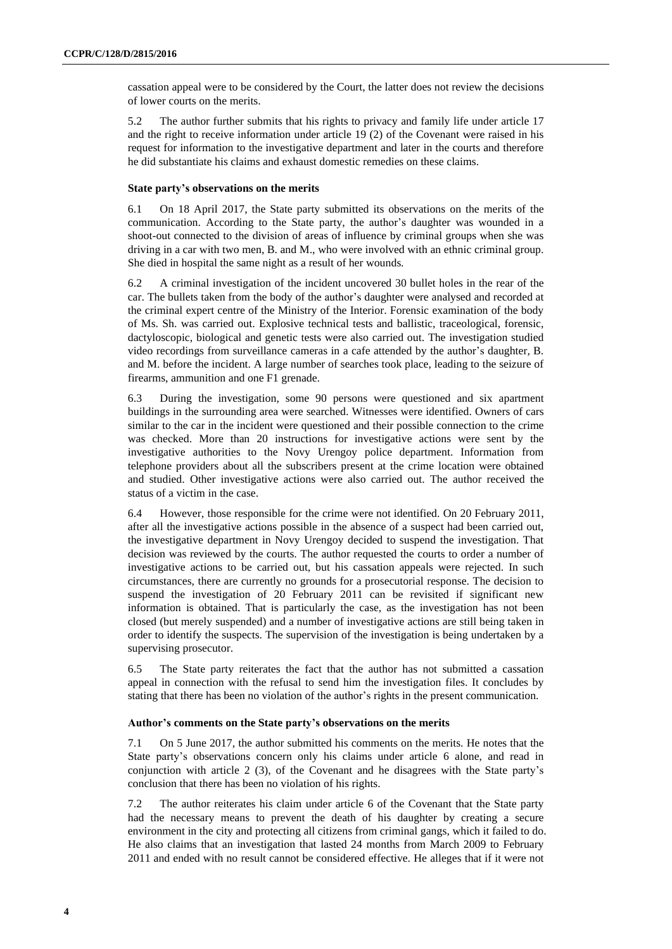cassation appeal were to be considered by the Court, the latter does not review the decisions of lower courts on the merits.

5.2 The author further submits that his rights to privacy and family life under article 17 and the right to receive information under article 19 (2) of the Covenant were raised in his request for information to the investigative department and later in the courts and therefore he did substantiate his claims and exhaust domestic remedies on these claims.

#### **State party's observations on the merits**

6.1 On 18 April 2017, the State party submitted its observations on the merits of the communication. According to the State party, the author's daughter was wounded in a shoot-out connected to the division of areas of influence by criminal groups when she was driving in a car with two men, B. and M., who were involved with an ethnic criminal group. She died in hospital the same night as a result of her wounds.

6.2 A criminal investigation of the incident uncovered 30 bullet holes in the rear of the car. The bullets taken from the body of the author's daughter were analysed and recorded at the criminal expert centre of the Ministry of the Interior. Forensic examination of the body of Ms. Sh. was carried out. Explosive technical tests and ballistic, traceological, forensic, dactyloscopic, biological and genetic tests were also carried out. The investigation studied video recordings from surveillance cameras in a cafe attended by the author's daughter, B. and M. before the incident. A large number of searches took place, leading to the seizure of firearms, ammunition and one F1 grenade.

6.3 During the investigation, some 90 persons were questioned and six apartment buildings in the surrounding area were searched. Witnesses were identified. Owners of cars similar to the car in the incident were questioned and their possible connection to the crime was checked. More than 20 instructions for investigative actions were sent by the investigative authorities to the Novy Urengoy police department. Information from telephone providers about all the subscribers present at the crime location were obtained and studied. Other investigative actions were also carried out. The author received the status of a victim in the case.

6.4 However, those responsible for the crime were not identified. On 20 February 2011, after all the investigative actions possible in the absence of a suspect had been carried out, the investigative department in Novy Urengoy decided to suspend the investigation. That decision was reviewed by the courts. The author requested the courts to order a number of investigative actions to be carried out, but his cassation appeals were rejected. In such circumstances, there are currently no grounds for a prosecutorial response. The decision to suspend the investigation of 20 February 2011 can be revisited if significant new information is obtained. That is particularly the case, as the investigation has not been closed (but merely suspended) and a number of investigative actions are still being taken in order to identify the suspects. The supervision of the investigation is being undertaken by a supervising prosecutor.

6.5 The State party reiterates the fact that the author has not submitted a cassation appeal in connection with the refusal to send him the investigation files. It concludes by stating that there has been no violation of the author's rights in the present communication.

#### **Author's comments on the State party's observations on the merits**

7.1 On 5 June 2017, the author submitted his comments on the merits. He notes that the State party's observations concern only his claims under article 6 alone, and read in conjunction with article 2 (3), of the Covenant and he disagrees with the State party's conclusion that there has been no violation of his rights.

7.2 The author reiterates his claim under article 6 of the Covenant that the State party had the necessary means to prevent the death of his daughter by creating a secure environment in the city and protecting all citizens from criminal gangs, which it failed to do. He also claims that an investigation that lasted 24 months from March 2009 to February 2011 and ended with no result cannot be considered effective. He alleges that if it were not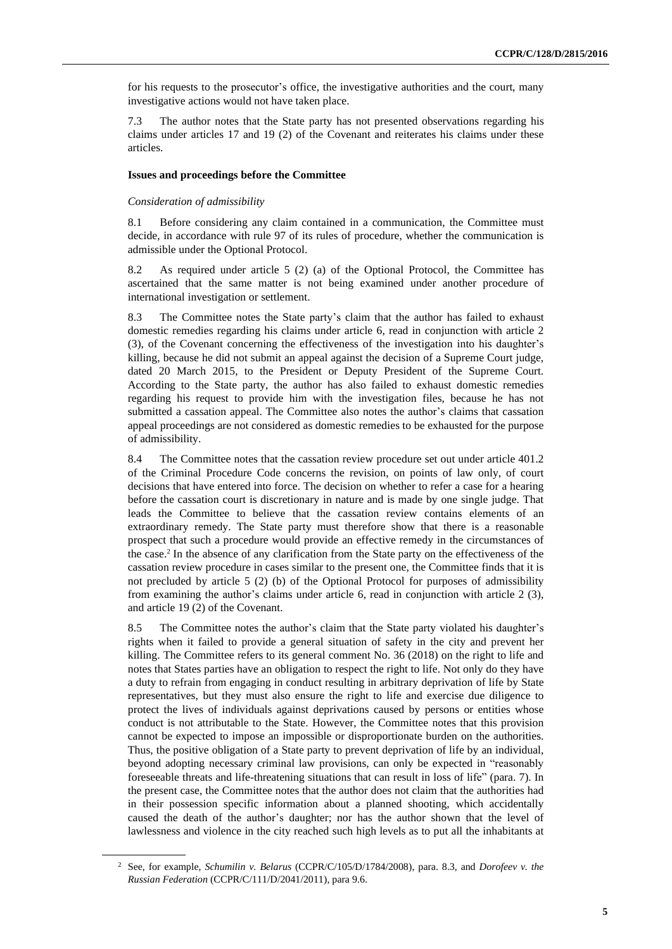for his requests to the prosecutor's office, the investigative authorities and the court, many investigative actions would not have taken place.

7.3 The author notes that the State party has not presented observations regarding his claims under articles 17 and 19 (2) of the Covenant and reiterates his claims under these articles.

#### **Issues and proceedings before the Committee**

#### *Consideration of admissibility*

8.1 Before considering any claim contained in a communication, the Committee must decide, in accordance with rule 97 of its rules of procedure, whether the communication is admissible under the Optional Protocol.

8.2 As required under article 5 (2) (a) of the Optional Protocol, the Committee has ascertained that the same matter is not being examined under another procedure of international investigation or settlement.

8.3 The Committee notes the State party's claim that the author has failed to exhaust domestic remedies regarding his claims under article 6, read in conjunction with article 2 (3), of the Covenant concerning the effectiveness of the investigation into his daughter's killing, because he did not submit an appeal against the decision of a Supreme Court judge, dated 20 March 2015, to the President or Deputy President of the Supreme Court. According to the State party, the author has also failed to exhaust domestic remedies regarding his request to provide him with the investigation files, because he has not submitted a cassation appeal. The Committee also notes the author's claims that cassation appeal proceedings are not considered as domestic remedies to be exhausted for the purpose of admissibility.

8.4 The Committee notes that the cassation review procedure set out under article 401.2 of the Criminal Procedure Code concerns the revision, on points of law only, of court decisions that have entered into force. The decision on whether to refer a case for a hearing before the cassation court is discretionary in nature and is made by one single judge. That leads the Committee to believe that the cassation review contains elements of an extraordinary remedy. The State party must therefore show that there is a reasonable prospect that such a procedure would provide an effective remedy in the circumstances of the case.<sup>2</sup> In the absence of any clarification from the State party on the effectiveness of the cassation review procedure in cases similar to the present one, the Committee finds that it is not precluded by article 5 (2) (b) of the Optional Protocol for purposes of admissibility from examining the author's claims under article 6, read in conjunction with article 2 (3), and article 19 (2) of the Covenant.

8.5 The Committee notes the author's claim that the State party violated his daughter's rights when it failed to provide a general situation of safety in the city and prevent her killing. The Committee refers to its general comment No. 36 (2018) on the right to life and notes that States parties have an obligation to respect the right to life. Not only do they have a duty to refrain from engaging in conduct resulting in arbitrary deprivation of life by State representatives, but they must also ensure the right to life and exercise due diligence to protect the lives of individuals against deprivations caused by persons or entities whose conduct is not attributable to the State. However, the Committee notes that this provision cannot be expected to impose an impossible or disproportionate burden on the authorities. Thus, the positive obligation of a State party to prevent deprivation of life by an individual, beyond adopting necessary criminal law provisions, can only be expected in "reasonably foreseeable threats and life-threatening situations that can result in loss of life" (para. 7). In the present case, the Committee notes that the author does not claim that the authorities had in their possession specific information about a planned shooting, which accidentally caused the death of the author's daughter; nor has the author shown that the level of lawlessness and violence in the city reached such high levels as to put all the inhabitants at

<sup>2</sup> See, for example, *Schumilin v. Belarus* (CCPR/C/105/D/1784/2008), para. 8.3, and *Dorofeev v. the Russian Federation* (CCPR/C/111/D/2041/2011), para 9.6.